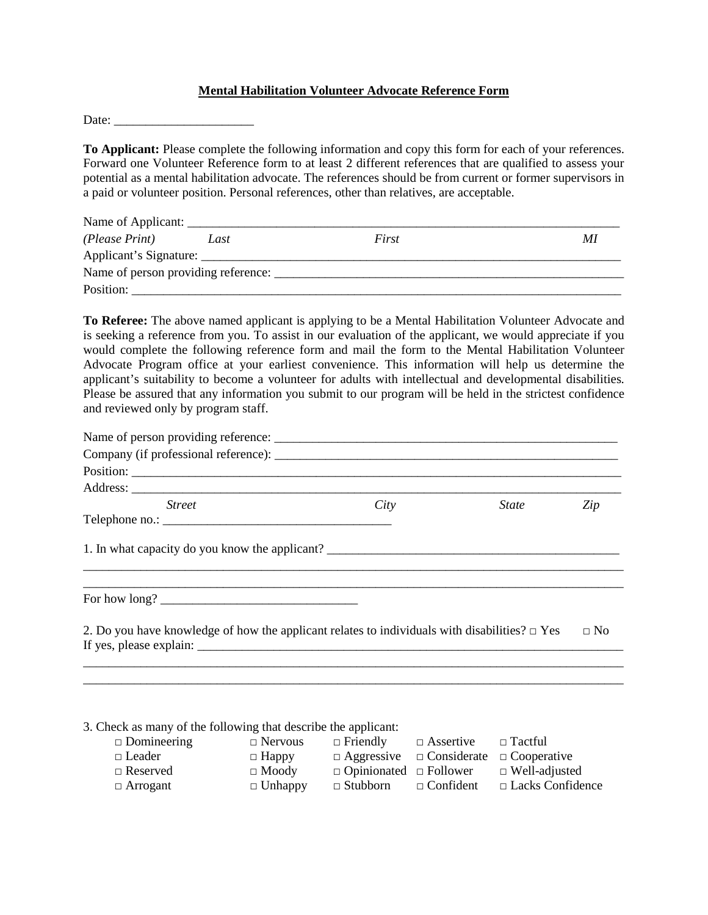## **Mental Habilitation Volunteer Advocate Reference Form**

Date:

**To Applicant:** Please complete the following information and copy this form for each of your references. Forward one Volunteer Reference form to at least 2 different references that are qualified to assess your potential as a mental habilitation advocate. The references should be from current or former supervisors in a paid or volunteer position. Personal references, other than relatives, are acceptable.

| Name of Applicant:     |      |       |    |
|------------------------|------|-------|----|
| (Please Print)         | Last | First | MI |
| Applicant's Signature: |      |       |    |
|                        |      |       |    |
| Position:              |      |       |    |

**To Referee:** The above named applicant is applying to be a Mental Habilitation Volunteer Advocate and is seeking a reference from you. To assist in our evaluation of the applicant, we would appreciate if you would complete the following reference form and mail the form to the Mental Habilitation Volunteer Advocate Program office at your earliest convenience. This information will help us determine the applicant's suitability to become a volunteer for adults with intellectual and developmental disabilities. Please be assured that any information you submit to our program will be held in the strictest confidence and reviewed only by program staff.

| City                                                                                                                                                                                                                                                                                 | <i>State</i> | Zip                                                                                                                                                  |
|--------------------------------------------------------------------------------------------------------------------------------------------------------------------------------------------------------------------------------------------------------------------------------------|--------------|------------------------------------------------------------------------------------------------------------------------------------------------------|
|                                                                                                                                                                                                                                                                                      |              |                                                                                                                                                      |
|                                                                                                                                                                                                                                                                                      |              |                                                                                                                                                      |
| For how long? $\sqrt{2}$ and $\sqrt{2}$ and $\sqrt{2}$ and $\sqrt{2}$ and $\sqrt{2}$ and $\sqrt{2}$ and $\sqrt{2}$ and $\sqrt{2}$ and $\sqrt{2}$ and $\sqrt{2}$ and $\sqrt{2}$ and $\sqrt{2}$ and $\sqrt{2}$ and $\sqrt{2}$ and $\sqrt{2}$ and $\sqrt{2}$ and $\sqrt{2}$ and $\sqrt$ |              |                                                                                                                                                      |
|                                                                                                                                                                                                                                                                                      |              | $\Box$ No                                                                                                                                            |
|                                                                                                                                                                                                                                                                                      |              |                                                                                                                                                      |
|                                                                                                                                                                                                                                                                                      |              | 1. In what capacity do you know the applicant?<br>2. Do you have knowledge of how the applicant relates to individuals with disabilities? $\Box$ Yes |

3. Check as many of the following that describe the applicant:

| $\Box$ Domineering | $\Box$ Nervous | $\Box$ Friendly                                         | $\Box$ Assertive | $\Box$ Tactful          |
|--------------------|----------------|---------------------------------------------------------|------------------|-------------------------|
| $\Box$ Leader      | $\Box$ Happy   | $\Box$ Aggressive $\Box$ Considerate $\Box$ Cooperative |                  |                         |
| $\Box$ Reserved    | $\Box$ Moody   | $\Box$ Opinionated $\Box$ Follower                      |                  | $\Box$ Well-adjusted    |
| $\Box$ Arrogant    | $\Box$ Unhappy | $\Box$ Stubborn                                         | $\Box$ Confident | $\Box$ Lacks Confidence |